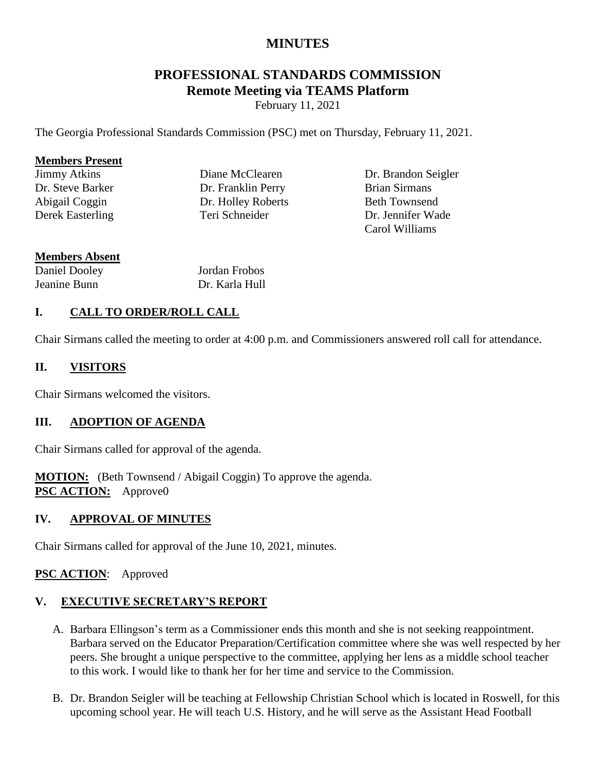# **MINUTES**

# **PROFESSIONAL STANDARDS COMMISSION Remote Meeting via TEAMS Platform**

February 11, 2021

The Georgia Professional Standards Commission (PSC) met on Thursday, February 11, 2021.

#### **Members Present**

Jimmy Atkins Dr. Steve Barker Abigail Coggin Derek Easterling Diane McClearen Dr. Franklin Perry Dr. Holley Roberts Teri Schneider

Dr. Brandon Seigler Brian Sirmans Beth Townsend Dr. Jennifer Wade Carol Williams

#### **Members Absent**

Daniel Dooley Jeanine Bunn

Jordan Frobos Dr. Karla Hull

# **I. CALL TO ORDER/ROLL CALL**

Chair Sirmans called the meeting to order at 4:00 p.m. and Commissioners answered roll call for attendance.

#### **II. VISITORS**

Chair Sirmans welcomed the visitors.

### **III. ADOPTION OF AGENDA**

Chair Sirmans called for approval of the agenda.

**MOTION:** (Beth Townsend / Abigail Coggin) To approve the agenda. **PSC ACTION:** Approve0

### **IV. APPROVAL OF MINUTES**

Chair Sirmans called for approval of the June 10, 2021, minutes.

### **PSC ACTION**: Approved

# **V. EXECUTIVE SECRETARY'S REPORT**

- A. Barbara Ellingson's term as a Commissioner ends this month and she is not seeking reappointment. Barbara served on the Educator Preparation/Certification committee where she was well respected by her peers. She brought a unique perspective to the committee, applying her lens as a middle school teacher to this work. I would like to thank her for her time and service to the Commission.
- B. Dr. Brandon Seigler will be teaching at Fellowship Christian School which is located in Roswell, for this upcoming school year. He will teach U.S. History, and he will serve as the Assistant Head Football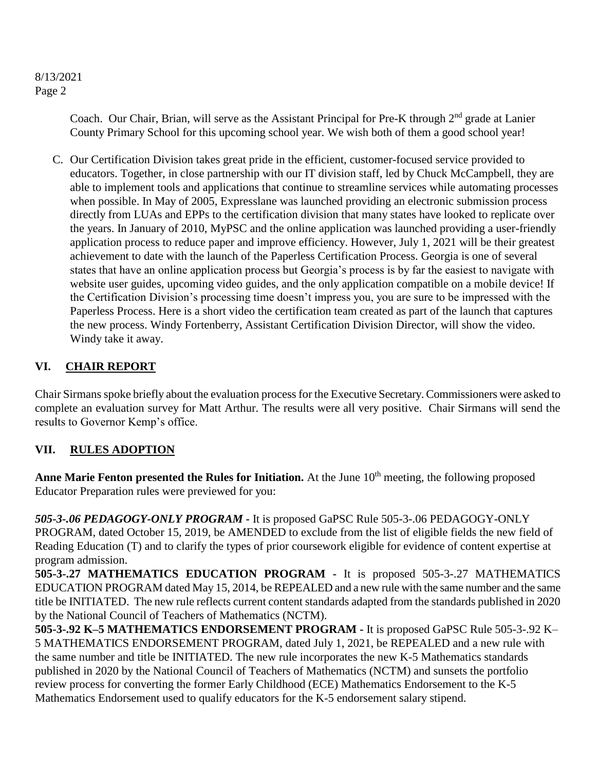Coach. Our Chair, Brian, will serve as the Assistant Principal for Pre-K through 2<sup>nd</sup> grade at Lanier County Primary School for this upcoming school year. We wish both of them a good school year!

C. Our Certification Division takes great pride in the efficient, customer-focused service provided to educators. Together, in close partnership with our IT division staff, led by Chuck McCampbell, they are able to implement tools and applications that continue to streamline services while automating processes when possible. In May of 2005, Expresslane was launched providing an electronic submission process directly from LUAs and EPPs to the certification division that many states have looked to replicate over the years. In January of 2010, MyPSC and the online application was launched providing a user-friendly application process to reduce paper and improve efficiency. However, July 1, 2021 will be their greatest achievement to date with the launch of the Paperless Certification Process. Georgia is one of several states that have an online application process but Georgia's process is by far the easiest to navigate with website user guides, upcoming video guides, and the only application compatible on a mobile device! If the Certification Division's processing time doesn't impress you, you are sure to be impressed with the Paperless Process. Here is a short video the certification team created as part of the launch that captures the new process. Windy Fortenberry, Assistant Certification Division Director, will show the video. Windy take it away.

# **VI. CHAIR REPORT**

Chair Sirmans spoke briefly about the evaluation process for the Executive Secretary. Commissioners were asked to complete an evaluation survey for Matt Arthur. The results were all very positive. Chair Sirmans will send the results to Governor Kemp's office.

# **VII. RULES ADOPTION**

Anne Marie Fenton presented the Rules for Initiation. At the June 10<sup>th</sup> meeting, the following proposed Educator Preparation rules were previewed for you:

*505-3-.06 PEDAGOGY-ONLY PROGRAM -* It is proposed GaPSC Rule 505-3-.06 PEDAGOGY-ONLY PROGRAM, dated October 15, 2019, be AMENDED to exclude from the list of eligible fields the new field of Reading Education (T) and to clarify the types of prior coursework eligible for evidence of content expertise at program admission.

**505-3-.27 MATHEMATICS EDUCATION PROGRAM -** It is proposed 505-3-.27 MATHEMATICS EDUCATION PROGRAM dated May 15, 2014, be REPEALED and a new rule with the same number and the same title be INITIATED. The new rule reflects current content standards adapted from the standards published in 2020 by the National Council of Teachers of Mathematics (NCTM).

**505-3-.92 K–5 MATHEMATICS ENDORSEMENT PROGRAM -** It is proposed GaPSC Rule 505-3-.92 K– 5 MATHEMATICS ENDORSEMENT PROGRAM, dated July 1, 2021, be REPEALED and a new rule with the same number and title be INITIATED. The new rule incorporates the new K-5 Mathematics standards published in 2020 by the National Council of Teachers of Mathematics (NCTM) and sunsets the portfolio review process for converting the former Early Childhood (ECE) Mathematics Endorsement to the K-5 Mathematics Endorsement used to qualify educators for the K-5 endorsement salary stipend.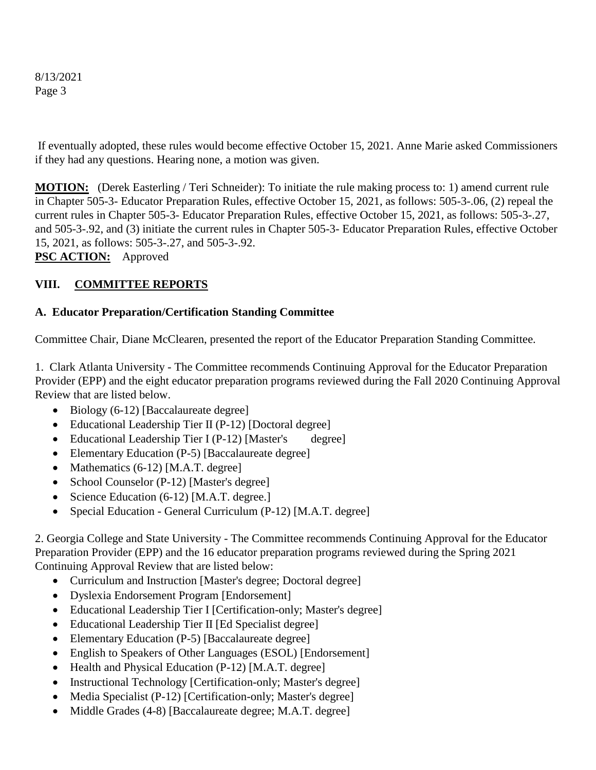If eventually adopted, these rules would become effective October 15, 2021. Anne Marie asked Commissioners if they had any questions. Hearing none, a motion was given.

**MOTION:** (Derek Easterling / Teri Schneider): To initiate the rule making process to: 1) amend current rule in Chapter 505-3- Educator Preparation Rules, effective October 15, 2021, as follows: 505-3-.06, (2) repeal the current rules in Chapter 505-3- Educator Preparation Rules, effective October 15, 2021, as follows: 505-3-.27, and 505-3-.92, and (3) initiate the current rules in Chapter 505-3- Educator Preparation Rules, effective October 15, 2021, as follows: 505-3-.27, and 505-3-.92.

**PSC ACTION:** Approved

# **VIII. COMMITTEE REPORTS**

### **A. Educator Preparation/Certification Standing Committee**

Committee Chair, Diane McClearen, presented the report of the Educator Preparation Standing Committee.

1. Clark Atlanta University - The Committee recommends Continuing Approval for the Educator Preparation Provider (EPP) and the eight educator preparation programs reviewed during the Fall 2020 Continuing Approval Review that are listed below.

- $\bullet$  Biology (6-12) [Baccalaureate degree]
- Educational Leadership Tier II (P-12) [Doctoral degree]
- Educational Leadership Tier I (P-12) [Master's degree]
- Elementary Education (P-5) [Baccalaureate degree]
- Mathematics  $(6-12)$  [M.A.T. degree]
- School Counselor (P-12) [Master's degree]
- Science Education (6-12) [M.A.T. degree.]
- Special Education General Curriculum (P-12) [M.A.T. degree]

2. Georgia College and State University - The Committee recommends Continuing Approval for the Educator Preparation Provider (EPP) and the 16 educator preparation programs reviewed during the Spring 2021 Continuing Approval Review that are listed below:

- Curriculum and Instruction [Master's degree; Doctoral degree]
- Dyslexia Endorsement Program [Endorsement]
- Educational Leadership Tier I [Certification-only; Master's degree]
- Educational Leadership Tier II [Ed Specialist degree]
- Elementary Education (P-5) [Baccalaureate degree]
- English to Speakers of Other Languages (ESOL) [Endorsement]
- Health and Physical Education (P-12) [M.A.T. degree]
- Instructional Technology [Certification-only; Master's degree]
- Media Specialist (P-12) [Certification-only; Master's degree]
- Middle Grades (4-8) [Baccalaureate degree; M.A.T. degree]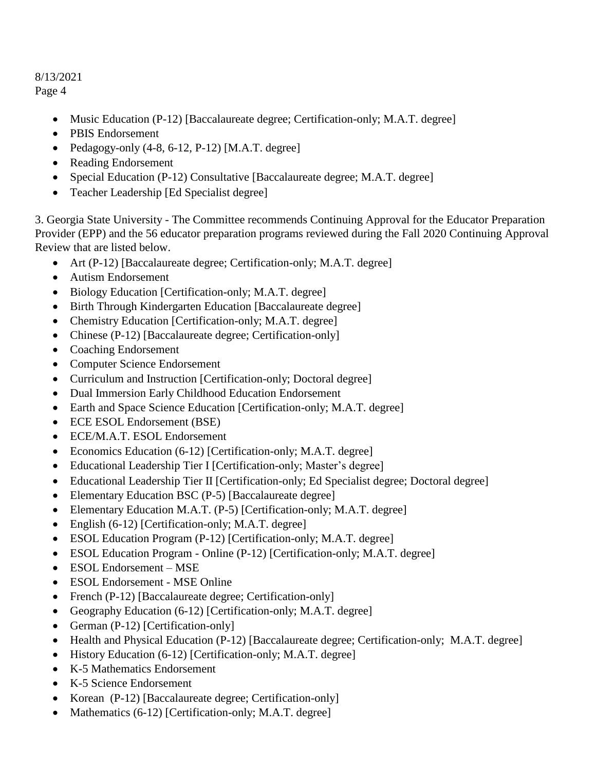- Music Education (P-12) [Baccalaureate degree; Certification-only; M.A.T. degree]
- PBIS Endorsement
- Pedagogy-only  $(4-8, 6-12, P-12)$  [M.A.T. degree]
- Reading Endorsement
- Special Education (P-12) Consultative [Baccalaureate degree; M.A.T. degree]
- Teacher Leadership [Ed Specialist degree]

3. Georgia State University - The Committee recommends Continuing Approval for the Educator Preparation Provider (EPP) and the 56 educator preparation programs reviewed during the Fall 2020 Continuing Approval Review that are listed below.

- Art (P-12) [Baccalaureate degree; Certification-only; M.A.T. degree]
- Autism Endorsement
- Biology Education [Certification-only; M.A.T. degree]
- Birth Through Kindergarten Education [Baccalaureate degree]
- Chemistry Education [Certification-only; M.A.T. degree]
- Chinese (P-12) [Baccalaureate degree; Certification-only]
- Coaching Endorsement
- Computer Science Endorsement
- Curriculum and Instruction [Certification-only; Doctoral degree]
- Dual Immersion Early Childhood Education Endorsement
- Earth and Space Science Education [Certification-only; M.A.T. degree]
- ECE ESOL Endorsement (BSE)
- ECE/M.A.T. ESOL Endorsement
- Economics Education (6-12) [Certification-only; M.A.T. degree]
- Educational Leadership Tier I [Certification-only; Master's degree]
- Educational Leadership Tier II [Certification-only; Ed Specialist degree; Doctoral degree]
- Elementary Education BSC (P-5) [Baccalaureate degree]
- Elementary Education M.A.T. (P-5) [Certification-only; M.A.T. degree]
- English (6-12) [Certification-only; M.A.T. degree]
- ESOL Education Program (P-12) [Certification-only; M.A.T. degree]
- ESOL Education Program Online (P-12) [Certification-only; M.A.T. degree]
- ESOL Endorsement MSE
- ESOL Endorsement MSE Online
- French (P-12) [Baccalaureate degree; Certification-only]
- Geography Education (6-12) [Certification-only; M.A.T. degree]
- German (P-12) [Certification-only]
- Health and Physical Education (P-12) [Baccalaureate degree; Certification-only; M.A.T. degree]
- History Education (6-12) [Certification-only; M.A.T. degree]
- K-5 Mathematics Endorsement
- K-5 Science Endorsement
- Korean (P-12) [Baccalaureate degree; Certification-only]
- Mathematics  $(6-12)$  [Certification-only; M.A.T. degree]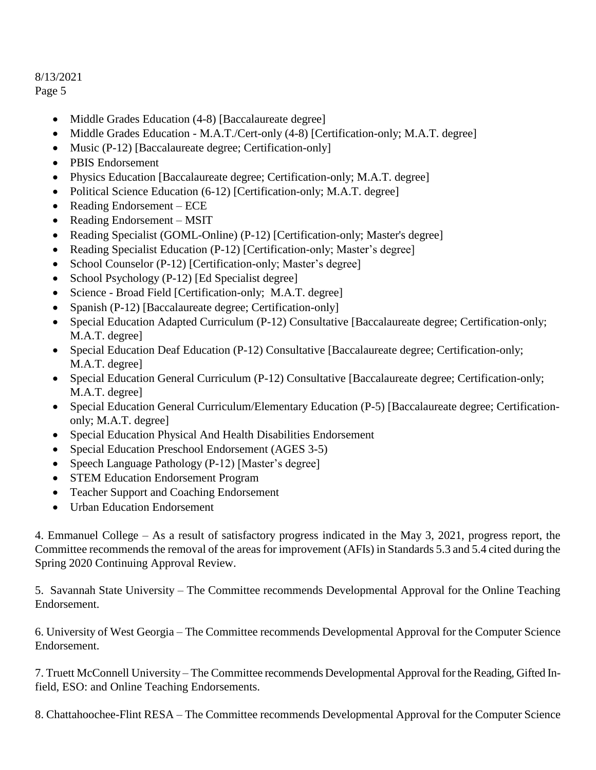- Middle Grades Education (4-8) [Baccalaureate degree]
- Middle Grades Education M.A.T./Cert-only (4-8) [Certification-only; M.A.T. degree]
- Music (P-12) [Baccalaureate degree; Certification-only]
- PBIS Endorsement
- Physics Education [Baccalaureate degree; Certification-only; M.A.T. degree]
- Political Science Education (6-12) [Certification-only; M.A.T. degree]
- Reading Endorsement ECE
- Reading Endorsement MSIT
- Reading Specialist (GOML-Online) (P-12) [Certification-only; Master's degree]
- Reading Specialist Education (P-12) [Certification-only; Master's degree]
- School Counselor (P-12) [Certification-only; Master's degree]
- School Psychology (P-12) [Ed Specialist degree]
- Science Broad Field [Certification-only; M.A.T. degree]
- Spanish (P-12) [Baccalaureate degree; Certification-only]
- Special Education Adapted Curriculum (P-12) Consultative [Baccalaureate degree; Certification-only; M.A.T. degree]
- Special Education Deaf Education (P-12) Consultative [Baccalaureate degree; Certification-only; M.A.T. degree]
- Special Education General Curriculum (P-12) Consultative [Baccalaureate degree; Certification-only; M.A.T. degree]
- Special Education General Curriculum/Elementary Education (P-5) [Baccalaureate degree; Certificationonly; M.A.T. degree]
- Special Education Physical And Health Disabilities Endorsement
- Special Education Preschool Endorsement (AGES 3-5)
- Speech Language Pathology (P-12) [Master's degree]
- STEM Education Endorsement Program
- Teacher Support and Coaching Endorsement
- Urban Education Endorsement

4. Emmanuel College – As a result of satisfactory progress indicated in the May 3, 2021, progress report, the Committee recommends the removal of the areas for improvement (AFIs) in Standards 5.3 and 5.4 cited during the Spring 2020 Continuing Approval Review.

5. Savannah State University – The Committee recommends Developmental Approval for the Online Teaching Endorsement.

6. University of West Georgia – The Committee recommends Developmental Approval for the Computer Science Endorsement.

7. Truett McConnell University – The Committee recommends Developmental Approval for the Reading, Gifted Infield, ESO: and Online Teaching Endorsements.

8. Chattahoochee-Flint RESA – The Committee recommends Developmental Approval for the Computer Science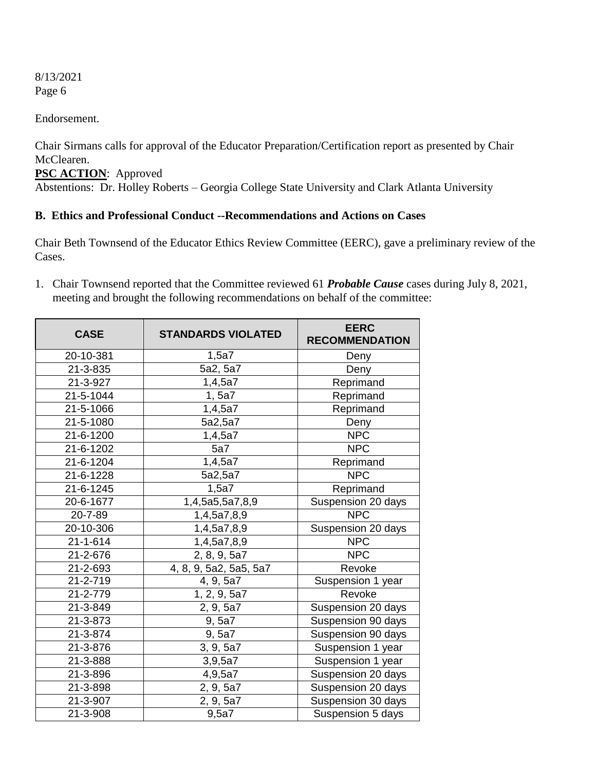Endorsement.

Chair Sirmans calls for approval of the Educator Preparation/Certification report as presented by Chair McClearen.

**PSC ACTION**: Approved Abstentions: Dr. Holley Roberts – Georgia College State University and Clark Atlanta University

# **B. Ethics and Professional Conduct --Recommendations and Actions on Cases**

Chair Beth Townsend of the Educator Ethics Review Committee (EERC), gave a preliminary review of the Cases.

1. Chair Townsend reported that the Committee reviewed 61 *Probable Cause* cases during July 8, 2021, meeting and brought the following recommendations on behalf of the committee:

| <b>CASE</b>            | <b>STANDARDS VIOLATED</b>      | <b>EERC</b><br><b>RECOMMENDATION</b> |  |
|------------------------|--------------------------------|--------------------------------------|--|
| 20-10-381              | 1,5a7                          | Deny                                 |  |
| 21-3-835               | 5a2, 5a7                       | Deny                                 |  |
| 21-3-927               | 1,4,5a7                        | Reprimand                            |  |
| 21-5-1044              | 1, 5a7                         | Reprimand                            |  |
| 21-5-1066              | 1,4,5a7                        | Reprimand                            |  |
| 21-5-1080              | 5a2,5a7                        | Deny                                 |  |
| 21-6-1200              | 1,4,5a7                        | <b>NPC</b>                           |  |
| 21-6-1202              | 5a7                            | <b>NPC</b>                           |  |
| 21-6-1204              | 1,4,5a7                        | Reprimand                            |  |
| 21-6-1228              | 5a2,5a7                        | <b>NPC</b>                           |  |
| 21-6-1245              | 1,5a7                          | Reprimand                            |  |
| 20-6-1677              | $\overline{1,}4,5a5,5a7,8,9$   | Suspension 20 days                   |  |
| 20-7-89                | 1,4,5a7,8,9                    | <b>NPC</b>                           |  |
| $20 - 10 - 306$        | 1,4,5a7,8,9                    | Suspension 20 days                   |  |
| $21 - 1 - 614$         | <b>NPC</b><br>1,4,5a7,8,9      |                                      |  |
| $\overline{21}$ -2-676 | 2, 8, 9, 5a7                   | <b>NPC</b>                           |  |
| 21-2-693               | 4, 8, 9, 5a2, 5a5, 5a7         | Revoke                               |  |
| 21-2-719               | 4, 9, 5a7                      | Suspension 1 year                    |  |
| 21-2-779               | $\overline{1, 2, 9, 5a7}$      | Revoke                               |  |
| 21-3-849               | 2, 9, 5a7                      | Suspension 20 days                   |  |
| 21-3-873               | 9, 5a7                         | Suspension 90 days                   |  |
| 21-3-874               | Suspension 90 days<br>9, 5a7   |                                      |  |
| 21-3-876               | 3, 9, 5a7<br>Suspension 1 year |                                      |  |
| 21-3-888               | 3,9,5a7                        | Suspension 1 year                    |  |
| 21-3-896               | 4,9,5a7                        | Suspension 20 days                   |  |
| 21-3-898               | 2, 9, 5a7                      | Suspension 20 days                   |  |
| 21-3-907               | 2, 9, 5a7                      | Suspension 30 days                   |  |
| 21-3-908               | 9,5a7                          | Suspension 5 days                    |  |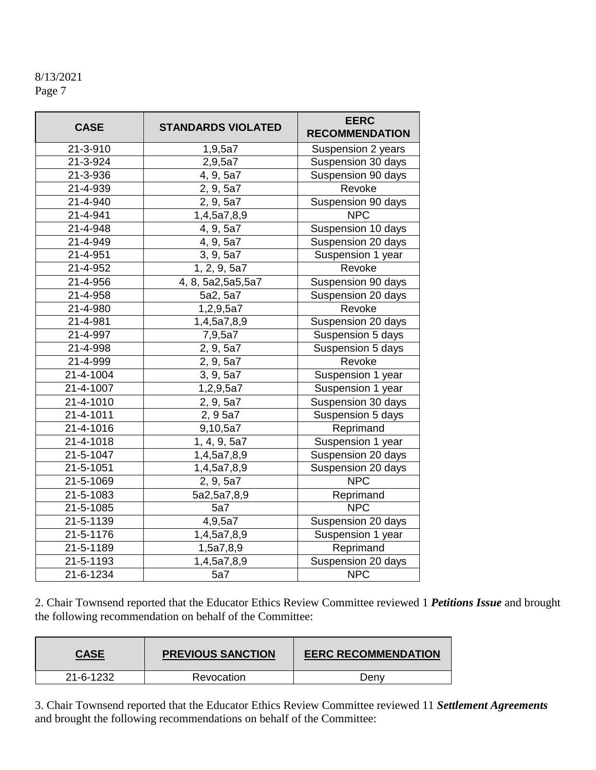| <b>CASE</b>            | <b>STANDARDS VIOLATED</b>                      | <b>EERC</b><br><b>RECOMMENDATION</b> |
|------------------------|------------------------------------------------|--------------------------------------|
| 21-3-910               | 1,9,5a7                                        | Suspension 2 years                   |
| 21-3-924               | 2,9,5a7                                        | Suspension 30 days                   |
| 21-3-936               | 4, 9, 5a7                                      | Suspension 90 days                   |
| $21 - 4 - 939$         | $\overline{2}$ , 9, 5a7                        | Revoke                               |
| 21-4-940               | 2, 9, 5a7                                      | Suspension 90 days                   |
| 21-4-941               | 1,4,5a7,8,9                                    | <b>NPC</b>                           |
| 21-4-948               | 4, 9, 5a7                                      | Suspension 10 days                   |
| 21-4-949               | 4, 9, 5a7                                      | Suspension 20 days                   |
| 21-4-951               | 3, 9, 5a7                                      | Suspension 1 year                    |
| 21-4-952               | 1, 2, 9, 5a7                                   | Revoke                               |
| 21-4-956               | 4, 8, 5a2, 5a5, 5a7                            | Suspension 90 days                   |
| 21-4-958               | $\overline{5a}$ 2, 5a7                         | Suspension 20 days                   |
| $\overline{21}$ -4-980 | 1,2,9,5a7                                      | Revoke                               |
| 21-4-981               | 1,4,5a7,8,9                                    | Suspension 20 days                   |
| 21-4-997               | 7,9,5a7                                        | Suspension 5 days                    |
| 21-4-998               | 2, 9, 5a7                                      | Suspension 5 days                    |
| 21-4-999               | 2, 9, 5a7                                      | Revoke                               |
| 21-4-1004              | 3, 9, 5a7                                      | Suspension 1 year                    |
| 21-4-1007              | Suspension 1 year<br>1,2,9,5a7                 |                                      |
| 21-4-1010              | Suspension 30 days<br>2, 9, 5a7                |                                      |
| 21-4-1011              | 2, 9 5a7                                       | Suspension 5 days                    |
| 21-4-1016              | 9,10,5a7                                       | Reprimand                            |
| 21-4-1018              | $\overline{1, 4, 9, 5a7}$                      | Suspension 1 year                    |
| 21-5-1047              | 1,4,5a7,8,9                                    | Suspension 20 days                   |
| 21-5-1051              | 1,4,5a7,8,9                                    | Suspension 20 days                   |
| $21 - 5 - 1069$        | 2, 9, 5a7                                      | <b>NPC</b>                           |
| 21-5-1083              | 5a2,5a7,8,9                                    | Reprimand                            |
| 21-5-1085              | 5a7                                            | <b>NPC</b>                           |
| 21-5-1139              | 4,9,5a7                                        | Suspension 20 days                   |
| 21-5-1176              | Suspension 1 year<br>$\overline{1,4}$ ,5a7,8,9 |                                      |
| 21-5-1189              | 1,5a7,8,9                                      | Reprimand                            |
| 21-5-1193              | 1,4,5a7,8,9                                    | Suspension 20 days                   |
| 21-6-1234              | <b>NPC</b><br>5a7                              |                                      |

2. Chair Townsend reported that the Educator Ethics Review Committee reviewed 1 *Petitions Issue* and brought the following recommendation on behalf of the Committee:

| <b>CASE</b> | <b>PREVIOUS SANCTION</b> | <b>EERC RECOMMENDATION</b> |
|-------------|--------------------------|----------------------------|
| 21-6-1232   | Revocation               | Denv                       |

3. Chair Townsend reported that the Educator Ethics Review Committee reviewed 11 *Settlement Agreements* and brought the following recommendations on behalf of the Committee: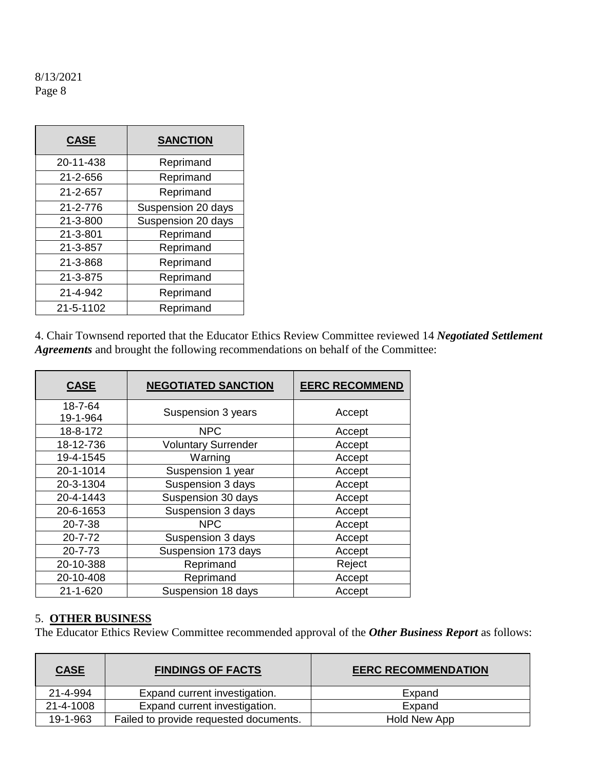| <b>CASE</b>    | <b>SANCTION</b>    |
|----------------|--------------------|
| 20-11-438      | Reprimand          |
| 21-2-656       | Reprimand          |
| 21-2-657       | Reprimand          |
| 21-2-776       | Suspension 20 days |
| $21 - 3 - 800$ | Suspension 20 days |
| 21-3-801       | Reprimand          |
| 21-3-857       | Reprimand          |
| 21-3-868       | Reprimand          |
| 21-3-875       | Reprimand          |
| 21-4-942       | Reprimand          |
| 21-5-1102      | Reprimand          |

4. Chair Townsend reported that the Educator Ethics Review Committee reviewed 14 *Negotiated Settlement Agreements* and brought the following recommendations on behalf of the Committee:

| <b>CASE</b>         | <b>NEGOTIATED SANCTION</b> | <b>EERC RECOMMEND</b> |
|---------------------|----------------------------|-----------------------|
| 18-7-64<br>19-1-964 | Suspension 3 years         | Accept                |
| 18-8-172            | <b>NPC</b>                 | Accept                |
| 18-12-736           | <b>Voluntary Surrender</b> | Accept                |
| 19-4-1545           | Warning                    | Accept                |
| 20-1-1014           | Suspension 1 year          | Accept                |
| 20-3-1304           | Suspension 3 days          | Accept                |
| 20-4-1443           | Suspension 30 days         | Accept                |
| 20-6-1653           | Suspension 3 days          | Accept                |
| 20-7-38             | <b>NPC</b>                 | Accept                |
| $20 - 7 - 72$       | Suspension 3 days          | Accept                |
| $20 - 7 - 73$       | Suspension 173 days        | Accept                |
| 20-10-388           | Reprimand                  | Reject                |
| 20-10-408           | Reprimand                  | Accept                |
| $21 - 1 - 620$      | Suspension 18 days         | Accept                |

# 5. **OTHER BUSINESS**

The Educator Ethics Review Committee recommended approval of the *Other Business Report* as follows:

| <b>CASE</b> | <b>FINDINGS OF FACTS</b>               | <b>EERC RECOMMENDATION</b> |
|-------------|----------------------------------------|----------------------------|
| 21-4-994    | Expand current investigation.          | Expand                     |
| 21-4-1008   | Expand current investigation.          | Expand                     |
| 19-1-963    | Failed to provide requested documents. | Hold New App               |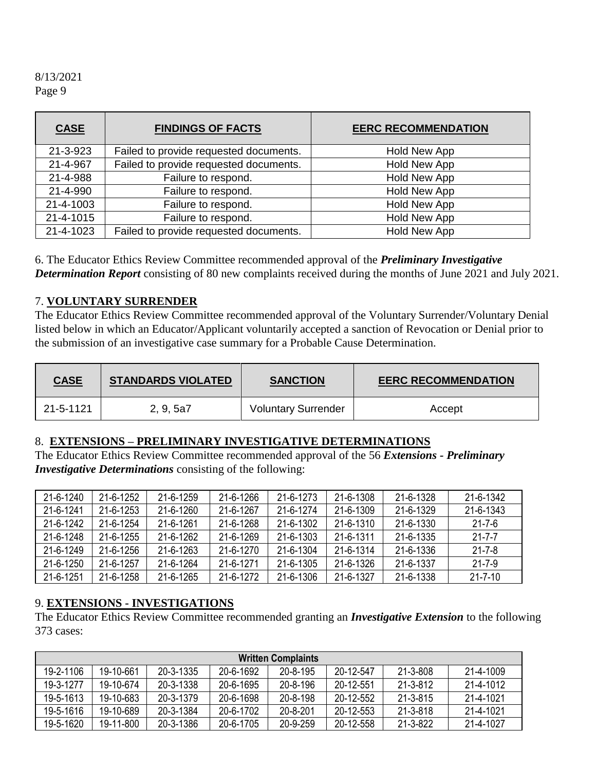| <b>CASE</b>    | <b>FINDINGS OF FACTS</b>               | <b>EERC RECOMMENDATION</b> |
|----------------|----------------------------------------|----------------------------|
| $21 - 3 - 923$ | Failed to provide requested documents. | Hold New App               |
| 21-4-967       | Failed to provide requested documents. | Hold New App               |
| 21-4-988       | Failure to respond.                    | <b>Hold New App</b>        |
| 21-4-990       | Failure to respond.                    | <b>Hold New App</b>        |
| 21-4-1003      | Failure to respond.                    | <b>Hold New App</b>        |
| 21-4-1015      | Failure to respond.                    | Hold New App               |
| 21-4-1023      | Failed to provide requested documents. | <b>Hold New App</b>        |

6. The Educator Ethics Review Committee recommended approval of the *Preliminary Investigative Determination Report* consisting of 80 new complaints received during the months of June 2021 and July 2021.

#### 7. **VOLUNTARY SURRENDER**

The Educator Ethics Review Committee recommended approval of the Voluntary Surrender/Voluntary Denial listed below in which an Educator/Applicant voluntarily accepted a sanction of Revocation or Denial prior to the submission of an investigative case summary for a Probable Cause Determination.

| <b>CASE</b> | <b>STANDARDS VIOLATED</b> | <b>SANCTION</b>            | <b>EERC RECOMMENDATION</b> |
|-------------|---------------------------|----------------------------|----------------------------|
| 21-5-1121   | 2, 9, 5a7                 | <b>Voluntary Surrender</b> | Accept                     |

#### 8. **EXTENSIONS – PRELIMINARY INVESTIGATIVE DETERMINATIONS**

The Educator Ethics Review Committee recommended approval of the 56 *Extensions - Preliminary Investigative Determinations* consisting of the following:

| 21-6-1240 | 21-6-1252       | 21-6-1259 | 21-6-1266 | 21-6-1273 | 21-6-1308 | 21-6-1328 | 21-6-1342     |
|-----------|-----------------|-----------|-----------|-----------|-----------|-----------|---------------|
| 21-6-1241 | $21 - 6 - 1253$ | 21-6-1260 | 21-6-1267 | 21-6-1274 | 21-6-1309 | 21-6-1329 | 21-6-1343     |
| 21-6-1242 | 21-6-1254       | 21-6-1261 | 21-6-1268 | 21-6-1302 | 21-6-1310 | 21-6-1330 | 21-7-6        |
| 21-6-1248 | $21 - 6 - 1255$ | 21-6-1262 | 21-6-1269 | 21-6-1303 | 21-6-1311 | 21-6-1335 | $21 - 7 - 7$  |
| 21-6-1249 | $21 - 6 - 1256$ | 21-6-1263 | 21-6-1270 | 21-6-1304 | 21-6-1314 | 21-6-1336 | $21 - 7 - 8$  |
| 21-6-1250 | 21-6-1257       | 21-6-1264 | 21-6-1271 | 21-6-1305 | 21-6-1326 | 21-6-1337 | 21-7-9        |
| 21-6-1251 | 21-6-1258       | 21-6-1265 | 21-6-1272 | 21-6-1306 | 21-6-1327 | 21-6-1338 | $21 - 7 - 10$ |

#### 9. **EXTENSIONS - INVESTIGATIONS**

The Educator Ethics Review Committee recommended granting an *Investigative Extension* to the following 373 cases:

|           | <b>Written Complaints</b> |           |           |                |           |                |           |
|-----------|---------------------------|-----------|-----------|----------------|-----------|----------------|-----------|
| 19-2-1106 | 19-10-661                 | 20-3-1335 | 20-6-1692 | $20 - 8 - 195$ | 20-12-547 | $21 - 3 - 808$ | 21-4-1009 |
| 19-3-1277 | 19-10-674                 | 20-3-1338 | 20-6-1695 | $20 - 8 - 196$ | 20-12-551 | 21-3-812       | 21-4-1012 |
| 19-5-1613 | 19-10-683                 | 20-3-1379 | 20-6-1698 | $20 - 8 - 198$ | 20-12-552 | $21 - 3 - 815$ | 21-4-1021 |
| 19-5-1616 | 19-10-689                 | 20-3-1384 | 20-6-1702 | 20-8-201       | 20-12-553 | $21 - 3 - 818$ | 21-4-1021 |
| 19-5-1620 | 19-11-800                 | 20-3-1386 | 20-6-1705 | 20-9-259       | 20-12-558 | $21 - 3 - 822$ | 21-4-1027 |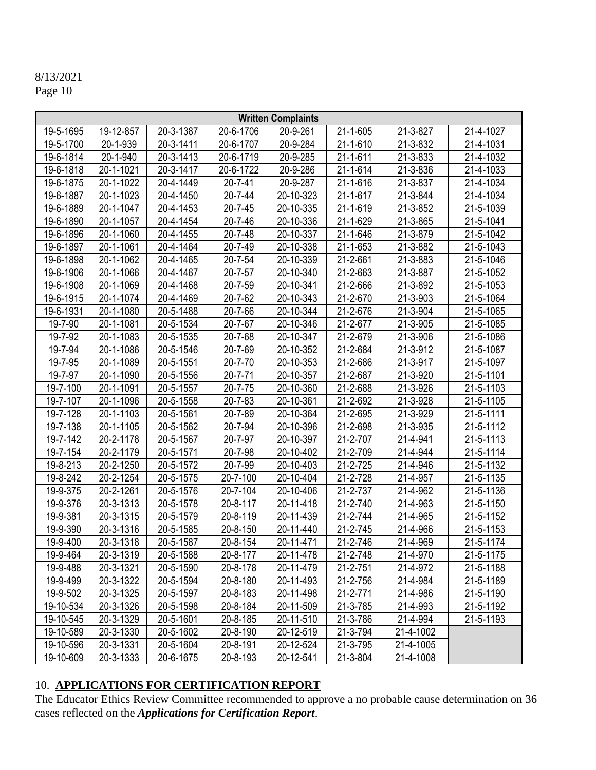|                           | <b>Written Complaints</b>  |           |               |                            |                        |                        |           |
|---------------------------|----------------------------|-----------|---------------|----------------------------|------------------------|------------------------|-----------|
| 19-5-1695                 | 19-12-857                  | 20-3-1387 | 20-6-1706     | 20-9-261                   | 21-1-605               | 21-3-827               | 21-4-1027 |
| 19-5-1700                 | 20-1-939                   | 20-3-1411 | 20-6-1707     | 20-9-284                   | 21-1-610               | $\overline{21}$ -3-832 | 21-4-1031 |
| 19-6-1814                 | 20-1-940                   | 20-3-1413 | 20-6-1719     | 20-9-285                   | 21-1-611               | 21-3-833               | 21-4-1032 |
| 19-6-1818                 | 20-1-1021                  | 20-3-1417 | 20-6-1722     | 20-9-286                   | 21-1-614               | 21-3-836               | 21-4-1033 |
| 19-6-1875                 | 20-1-1022                  | 20-4-1449 | 20-7-41       | 20-9-287                   | 21-1-616               | 21-3-837               | 21-4-1034 |
| 19-6-1887                 | 20-1-1023                  | 20-4-1450 | $20 - 7 - 44$ | 20-10-323                  | 21-1-617               | 21-3-844               | 21-4-1034 |
| 19-6-1889                 | 20-1-1047                  | 20-4-1453 | 20-7-45       | 20-10-335                  | 21-1-619               | 21-3-852               | 21-5-1039 |
| 19-6-1890                 | 20-1-1057                  | 20-4-1454 | 20-7-46       | 20-10-336                  | 21-1-629               | 21-3-865               | 21-5-1041 |
| 19-6-1896                 | 20-1-1060                  | 20-4-1455 | 20-7-48       | 20-10-337                  | 21-1-646               | $\overline{2}$ 1-3-879 | 21-5-1042 |
| 19-6-1897                 | 20-1-1061                  | 20-4-1464 | 20-7-49       | 20-10-338                  | 21-1-653               | 21-3-882               | 21-5-1043 |
| 19-6-1898                 | 20-1-1062                  | 20-4-1465 | 20-7-54       | 20-10-339                  | 21-2-661               | 21-3-883               | 21-5-1046 |
| 19-6-1906                 | 20-1-1066                  | 20-4-1467 | 20-7-57       | 20-10-340                  | 21-2-663               | 21-3-887               | 21-5-1052 |
| 19-6-1908                 | 20-1-1069                  | 20-4-1468 | 20-7-59       | 20-10-341                  | 21-2-666               | 21-3-892               | 21-5-1053 |
| 19-6-1915                 | 20-1-1074                  | 20-4-1469 | 20-7-62       | $\overline{20} - 10 - 343$ | 21-2-670               | 21-3-903               | 21-5-1064 |
| 19-6-1931                 | 20-1-1080                  | 20-5-1488 | 20-7-66       | 20-10-344                  | $\overline{2}$ 1-2-676 | 21-3-904               | 21-5-1065 |
| 19-7-90                   | 20-1-1081                  | 20-5-1534 | 20-7-67       | 20-10-346                  | 21-2-677               | 21-3-905               | 21-5-1085 |
| 19-7-92                   | 20-1-1083                  | 20-5-1535 | 20-7-68       | 20-10-347                  | 21-2-679               | 21-3-906               | 21-5-1086 |
| 19-7-94                   | 20-1-1086                  | 20-5-1546 | 20-7-69       | $\overline{20}$ -10-352    | 21-2-684               | 21-3-912               | 21-5-1087 |
| 19-7-95                   | 20-1-1089                  | 20-5-1551 | 20-7-70       | 20-10-353                  | 21-2-686               | 21-3-917               | 21-5-1097 |
| 19-7-97                   | 20-1-1090                  | 20-5-1556 | 20-7-71       | 20-10-357                  | 21-2-687               | 21-3-920               | 21-5-1101 |
| 19-7-100                  | 20-1-1091                  | 20-5-1557 | 20-7-75       | 20-10-360                  | 21-2-688               | 21-3-926               | 21-5-1103 |
| 19-7-107                  | 20-1-1096                  | 20-5-1558 | 20-7-83       | 20-10-361                  | 21-2-692               | 21-3-928               | 21-5-1105 |
| 19-7-128                  | 20-1-1103                  | 20-5-1561 | 20-7-89       | 20-10-364                  | 21-2-695               | 21-3-929               | 21-5-1111 |
| $\overline{19} - 7 - 138$ | 20-1-1105                  | 20-5-1562 | 20-7-94       | 20-10-396                  | 21-2-698               | 21-3-935               | 21-5-1112 |
| 19-7-142                  | 20-2-1178                  | 20-5-1567 | 20-7-97       | 20-10-397                  | 21-2-707               | 21-4-941               | 21-5-1113 |
| 19-7-154                  | $\overline{20}$ -2-1179    | 20-5-1571 | 20-7-98       | 20-10-402                  | 21-2-709               | 21-4-944               | 21-5-1114 |
| 19-8-213                  | $\overline{20}$ -2-1250    | 20-5-1572 | 20-7-99       | 20-10-403                  | 21-2-725               | 21-4-946               | 21-5-1132 |
| 19-8-242                  | 20-2-1254                  | 20-5-1575 | 20-7-100      | 20-10-404                  | 21-2-728               | 21-4-957               | 21-5-1135 |
| 19-9-375                  | 20-2-1261                  | 20-5-1576 | 20-7-104      | 20-10-406                  | 21-2-737               | 21-4-962               | 21-5-1136 |
| 19-9-376                  | 20-3-1313                  | 20-5-1578 | 20-8-117      | 20-11-418                  | 21-2-740               | 21-4-963               | 21-5-1150 |
| 19-9-381                  | 20-3-1315                  | 20-5-1579 | 20-8-119      | 20-11-439                  | 21-2-744               | 21-4-965               | 21-5-1152 |
| 19-9-390                  | $\overline{20} - 3 - 1316$ | 20-5-1585 | 20-8-150      | 20-11-440                  | 21-2-745               | 21-4-966               | 21-5-1153 |
| 19-9-400                  | 20-3-1318                  | 20-5-1587 | 20-8-154      | 20-11-471                  | 21-2-746               | 21-4-969               | 21-5-1174 |
| 19-9-464                  | 20-3-1319                  | 20-5-1588 | 20-8-177      | 20-11-478                  | 21-2-748               | 21-4-970               | 21-5-1175 |
| 19-9-488                  | 20-3-1321                  | 20-5-1590 | 20-8-178      | 20-11-479                  | 21-2-751               | 21-4-972               | 21-5-1188 |
| 19-9-499                  | 20-3-1322                  | 20-5-1594 | 20-8-180      | 20-11-493                  | 21-2-756               | 21-4-984               | 21-5-1189 |
| 19-9-502                  | 20-3-1325                  | 20-5-1597 | 20-8-183      | 20-11-498                  | 21-2-771               | 21-4-986               | 21-5-1190 |
| 19-10-534                 | 20-3-1326                  | 20-5-1598 | 20-8-184      | 20-11-509                  | 21-3-785               | 21-4-993               | 21-5-1192 |
| 19-10-545                 | 20-3-1329                  | 20-5-1601 | 20-8-185      | 20-11-510                  | 21-3-786               | 21-4-994               | 21-5-1193 |
| 19-10-589                 | 20-3-1330                  | 20-5-1602 | 20-8-190      | 20-12-519                  | 21-3-794               | 21-4-1002              |           |
| 19-10-596                 | 20-3-1331                  | 20-5-1604 | 20-8-191      | 20-12-524                  | 21-3-795               | 21-4-1005              |           |
| 19-10-609                 | 20-3-1333                  | 20-6-1675 | 20-8-193      | 20-12-541                  | 21-3-804               | 21-4-1008              |           |

# 10. **APPLICATIONS FOR CERTIFICATION REPORT**

The Educator Ethics Review Committee recommended to approve a no probable cause determination on 36 cases reflected on the *Applications for Certification Report*.